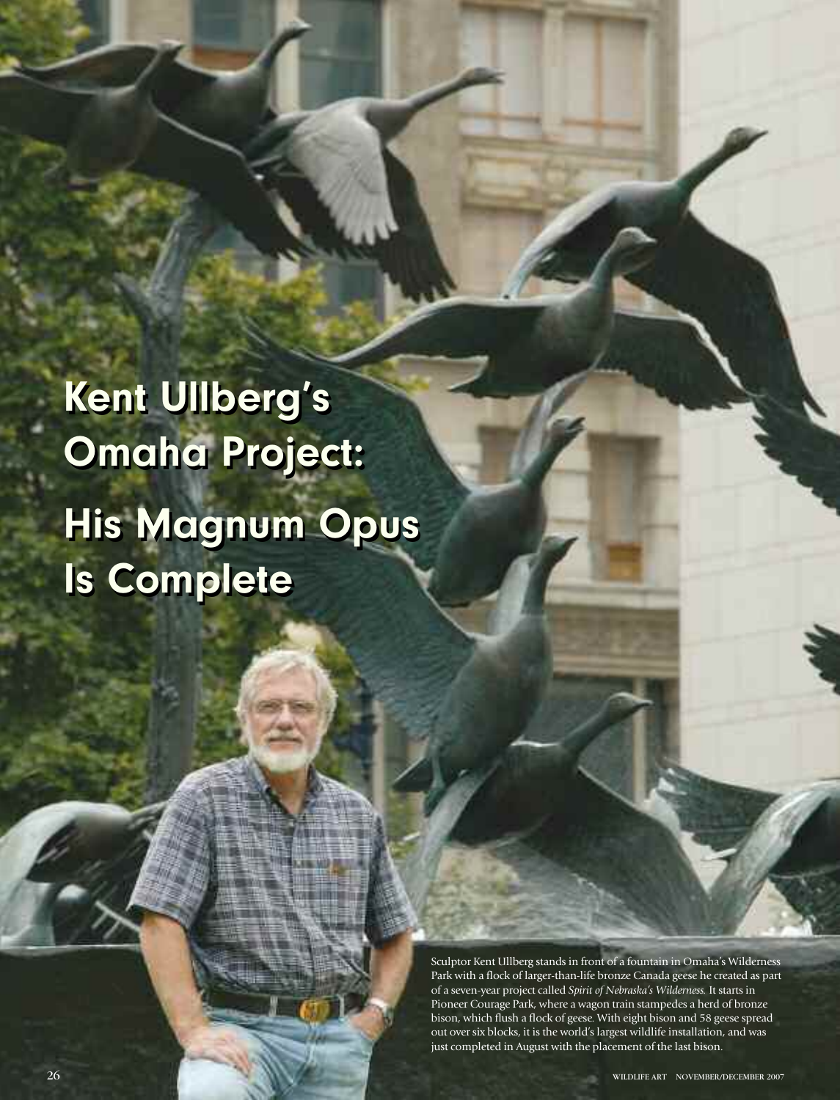**Kent Ullberg's Kent Ullberg's Omaha Project: Omaha Project: His Magnum Opus His Magnum Opus Is Complete Is Complete**

> Sculptor Kent Ullberg stands in front of a fountain in Omaha's Wilderness Park with a flock of larger-than-life bronze Canada geese he created as part of a seven-year project called *Spirit of Nebraska's Wilderness.* It starts in Pioneer Courage Park, where a wagon train stampedes a herd of bronze bison, which flush a flock of geese. With eight bison and 58 geese spread out over six blocks, it is the world's largest wildlife installation, and was just completed in August with the placement of the last bison.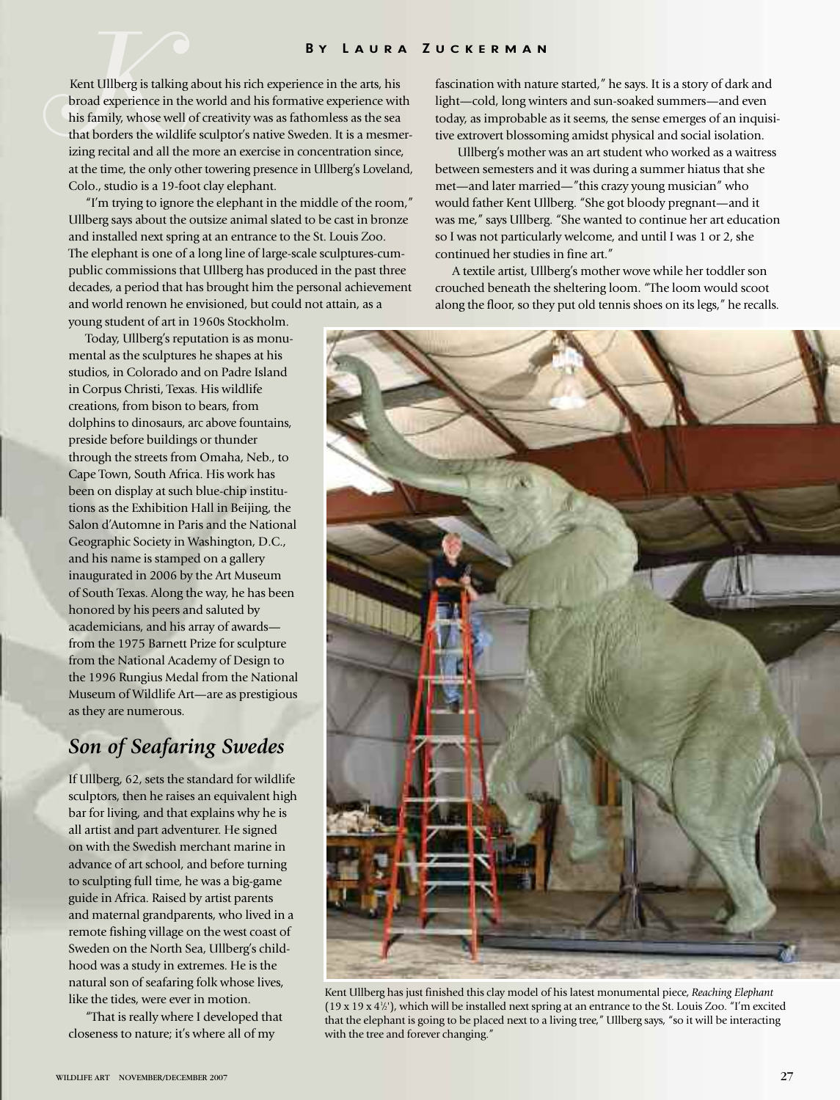Kent Ullberg is talking about his rich experience in the arts, his broad experience in the world and his formative experience with his family, whose well of creativity was as fathomless as the sea that borders the wildlife sculptor's native Sweden. It is a mesmerizing recital and all the more an exercise in concentration since, at the time, the only other towering presence in Ullberg's Loveland, Colo., studio is a 19-foot clay elephant.

"I'm trying to ignore the elephant in the middle of the room," Ullberg says about the outsize animal slated to be cast in bronze and installed next spring at an entrance to the St. Louis Zoo. The elephant is one of a long line of large-scale sculptures-cumpublic commissions that Ullberg has produced in the past three decades, a period that has brought him the personal achievement and world renown he envisioned, but could not attain, as a young student of art in 1960s Stockholm.

Today, Ullberg's reputation is as monumental as the sculptures he shapes at his studios, in Colorado and on Padre Island in Corpus Christi, Texas. His wildlife creations, from bison to bears, from dolphins to dinosaurs, arc above fountains, preside before buildings or thunder through the streets from Omaha, Neb., to Cape Town, South Africa. His work has been on display at such blue-chip institutions as the Exhibition Hall in Beijing, the Salon d'Automne in Paris and the National Geographic Society in Washington, D.C., and his name is stamped on a gallery inaugurated in 2006 by the Art Museum of South Texas. Along the way, he has been honored by his peers and saluted by academicians, and his array of awards from the 1975 Barnett Prize for sculpture from the National Academy of Design to the 1996 Rungius Medal from the National Museum of Wildlife Art—are as prestigious as they are numerous.

## *Son of Seafaring Swedes*

If Ullberg, 62, sets the standard for wildlife sculptors, then he raises an equivalent high bar for living, and that explains why he is all artist and part adventurer. He signed on with the Swedish merchant marine in advance of art school, and before turning to sculpting full time, he was a big-game guide in Africa. Raised by artist parents and maternal grandparents, who lived in a remote fishing village on the west coast of Sweden on the North Sea, Ullberg's childhood was a study in extremes. He is the natural son of seafaring folk whose lives, like the tides, were ever in motion.

"That is really where I developed that closeness to nature; it's where all of my

fascination with nature started," he says. It is a story of dark and light—cold, long winters and sun-soaked summers—and even today, as improbable as it seems, the sense emerges of an inquisitive extrovert blossoming amidst physical and social isolation.

Ullberg's mother was an art student who worked as a waitress between semesters and it was during a summer hiatus that she met—and later married—"this crazy young musician" who would father Kent Ullberg. "She got bloody pregnant—and it was me," says Ullberg. "She wanted to continue her art education so I was not particularly welcome, and until I was 1 or 2, she continued her studies in fine art."

A textile artist, Ullberg's mother wove while her toddler son crouched beneath the sheltering loom. "The loom would scoot along the floor, so they put old tennis shoes on its legs," he recalls.



Kent Ullberg has just finished this clay model of his latest monumental piece, *Reaching Elephant*  $(19 \times 19 \times 4\%)$ , which will be installed next spring at an entrance to the St. Louis Zoo. "I'm excited that the elephant is going to be placed next to a living tree," Ullberg says, "so it will be interacting with the tree and forever changing."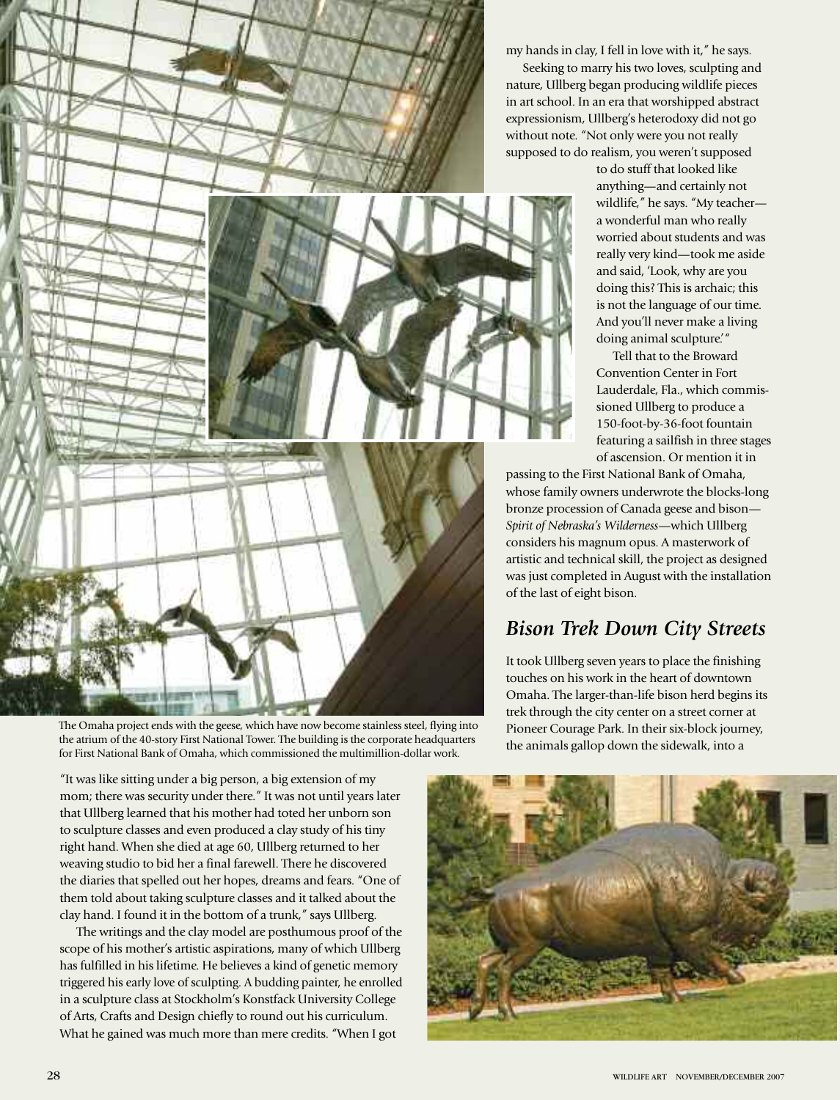my hands in clay, I fell in love with it," he says.

Seeking to marry his two loves, sculpting and nature, Ullberg began producing wildlife pieces in art school. In an era that worshipped abstract expressionism, Ullberg's heterodoxy did not go without note. "Not only were you not really supposed to do realism, you weren't supposed

> to do stuff that looked like anything—and certainly not wildlife," he says. "My teacher a wonderful man who really worried about students and was really very kind—took me aside and said, 'Look, why are you doing this? This is archaic; this is not the language of our time. And you'll never make a living doing animal sculpture.'"

Tell that to the Broward Convention Center in Fort Lauderdale, Fla., which commissioned Ullberg to produce a 150-foot-by-36-foot fountain featuring a sailfish in three stages of ascension. Or mention it in

passing to the First National Bank of Omaha, whose family owners underwrote the blocks-long bronze procession of Canada geese and bison— *Spirit of Nebraska's Wilderness*—which Ullberg considers his magnum opus. A masterwork of artistic and technical skill, the project as designed was just completed in August with the installation of the last of eight bison.

## *Bison Trek Down City Streets*

It took Ullberg seven years to place the finishing touches on his work in the heart of downtown Omaha. The larger-than-life bison herd begins its trek through the city center on a street corner at Pioneer Courage Park. In their six-block journey, the animals gallop down the sidewalk, into a



The Omaha project ends with the geese, which have now become stainless steel, flying into the atrium of the 40-story First National Tower. The building is the corporate headquarters for First National Bank of Omaha, which commissioned the multimillion-dollar work.

"It was like sitting under a big person, a big extension of my mom; there was security under there." It was not until years later that Ullberg learned that his mother had toted her unborn son to sculpture classes and even produced a clay study of his tiny right hand. When she died at age 60, Ullberg returned to her weaving studio to bid her a final farewell. There he discovered the diaries that spelled out her hopes, dreams and fears. "One of them told about taking sculpture classes and it talked about the clay hand. I found it in the bottom of a trunk," says Ullberg.

The writings and the clay model are posthumous proof of the scope of his mother's artistic aspirations, many of which Ullberg has fulfilled in his lifetime. He believes a kind of genetic memory triggered his early love of sculpting. A budding painter, he enrolled in a sculpture class at Stockholm's Konstfack University College of Arts, Crafts and Design chiefly to round out his curriculum. What he gained was much more than mere credits. "When I got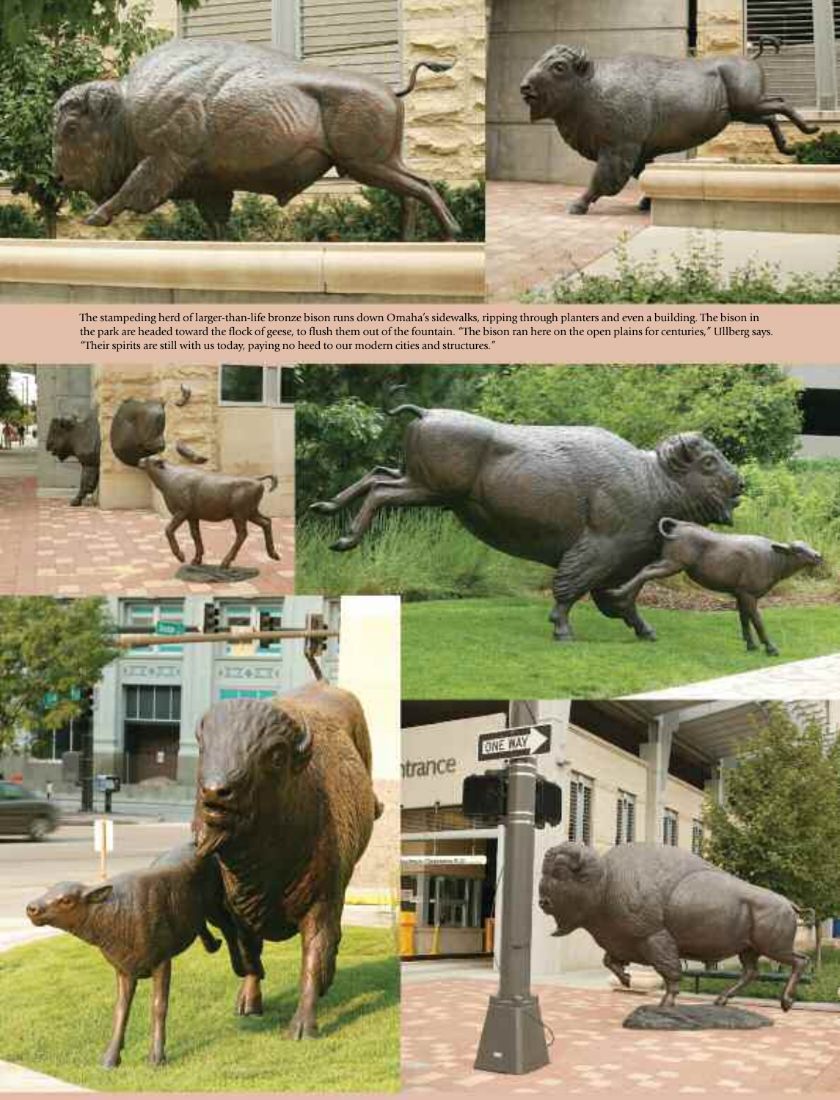

The stampeding herd of larger-than-life bronze bison runs down Omaha's sidewalks, ripping through planters and even a building. The bison in the park are headed toward the flock of geese, to flush them out of the fountain. "The bison ran here on the open plains for centuries," Ullberg says. "Their spirits are still with us today, paying no heed to our modern cities and structures."

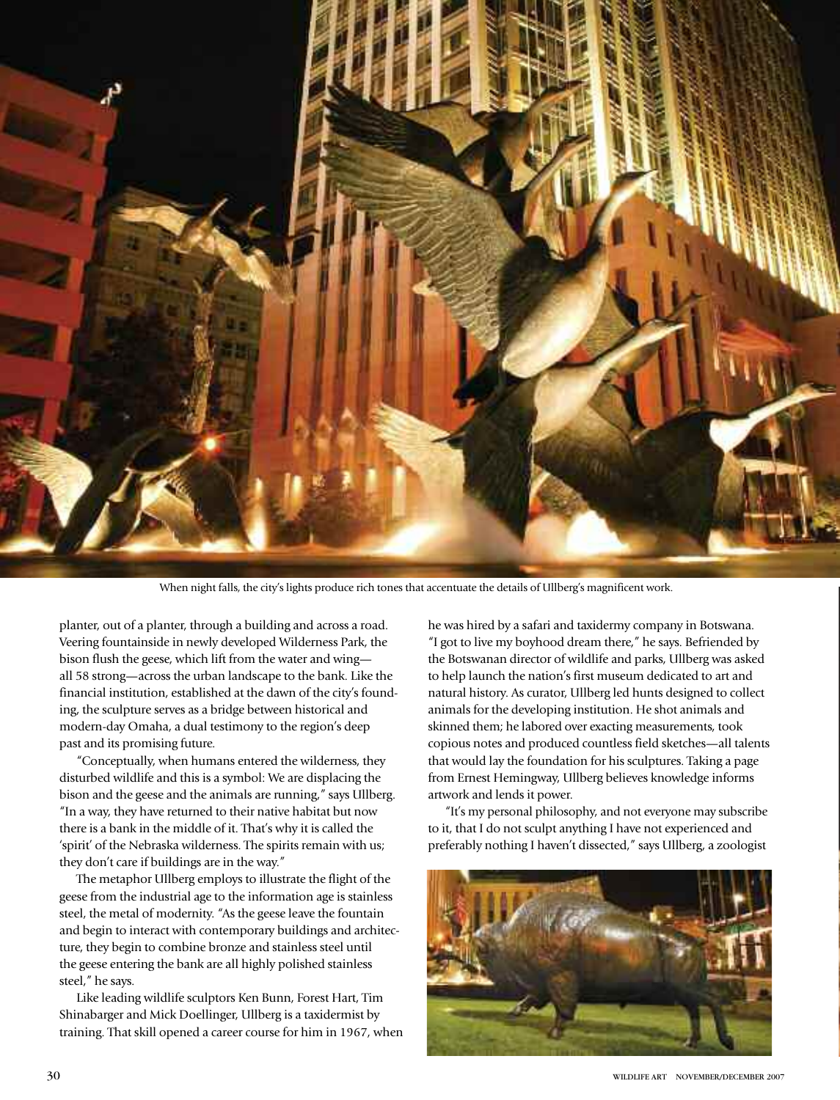

When night falls, the city's lights produce rich tones that accentuate the details of Ullberg's magnificent work.

planter, out of a planter, through a building and across a road. Veering fountainside in newly developed Wilderness Park, the bison flush the geese, which lift from the water and wing all 58 strong—across the urban landscape to the bank. Like the financial institution, established at the dawn of the city's founding, the sculpture serves as a bridge between historical and modern-day Omaha, a dual testimony to the region's deep past and its promising future.

"Conceptually, when humans entered the wilderness, they disturbed wildlife and this is a symbol: We are displacing the bison and the geese and the animals are running," says Ullberg. "In a way, they have returned to their native habitat but now there is a bank in the middle of it. That's why it is called the 'spirit' of the Nebraska wilderness. The spirits remain with us; they don't care if buildings are in the way."

The metaphor Ullberg employs to illustrate the flight of the geese from the industrial age to the information age is stainless steel, the metal of modernity. "As the geese leave the fountain and begin to interact with contemporary buildings and architecture, they begin to combine bronze and stainless steel until the geese entering the bank are all highly polished stainless steel," he says.

Like leading wildlife sculptors Ken Bunn, Forest Hart, Tim Shinabarger and Mick Doellinger, Ullberg is a taxidermist by training. That skill opened a career course for him in 1967, when he was hired by a safari and taxidermy company in Botswana. "I got to live my boyhood dream there," he says. Befriended by the Botswanan director of wildlife and parks, Ullberg was asked to help launch the nation's first museum dedicated to art and natural history. As curator, Ullberg led hunts designed to collect animals for the developing institution. He shot animals and skinned them; he labored over exacting measurements, took copious notes and produced countless field sketches—all talents that would lay the foundation for his sculptures. Taking a page from Ernest Hemingway, Ullberg believes knowledge informs artwork and lends it power.

"It's my personal philosophy, and not everyone may subscribe to it, that I do not sculpt anything I have not experienced and preferably nothing I haven't dissected," says Ullberg, a zoologist

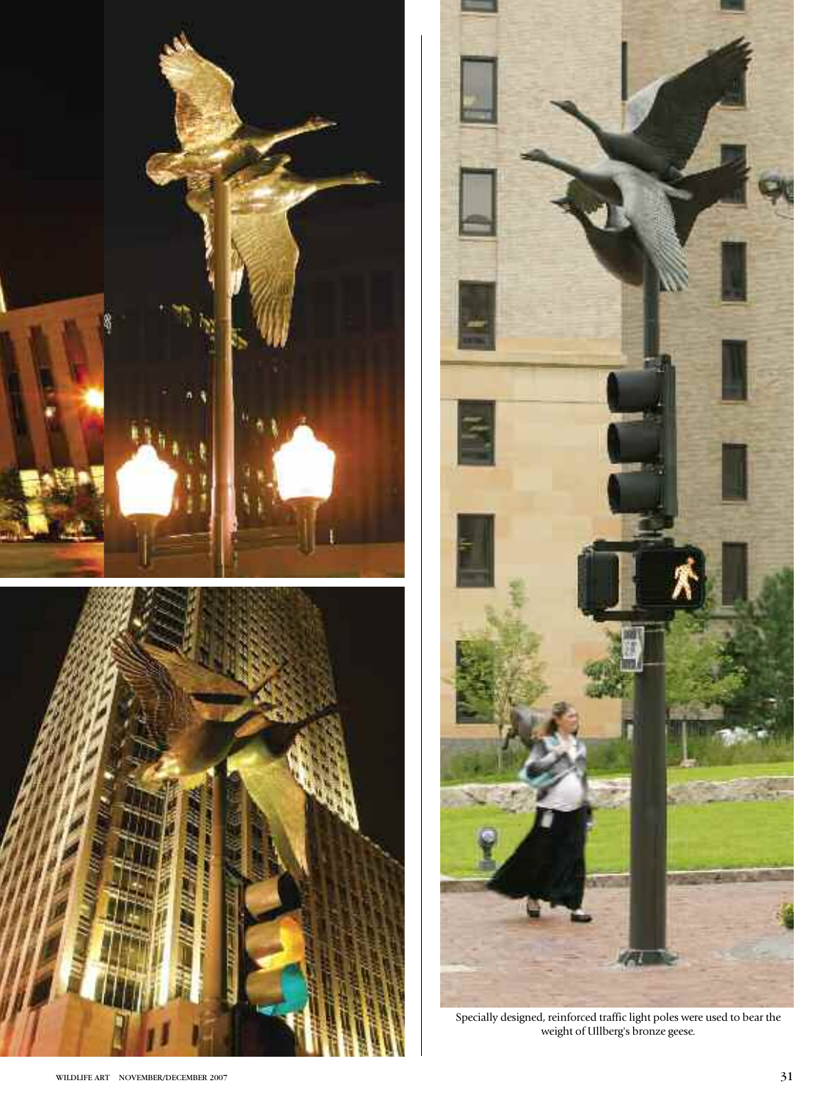





Specially designed, reinforced traffic light poles were used to bear the weight of Ullberg's bronze geese.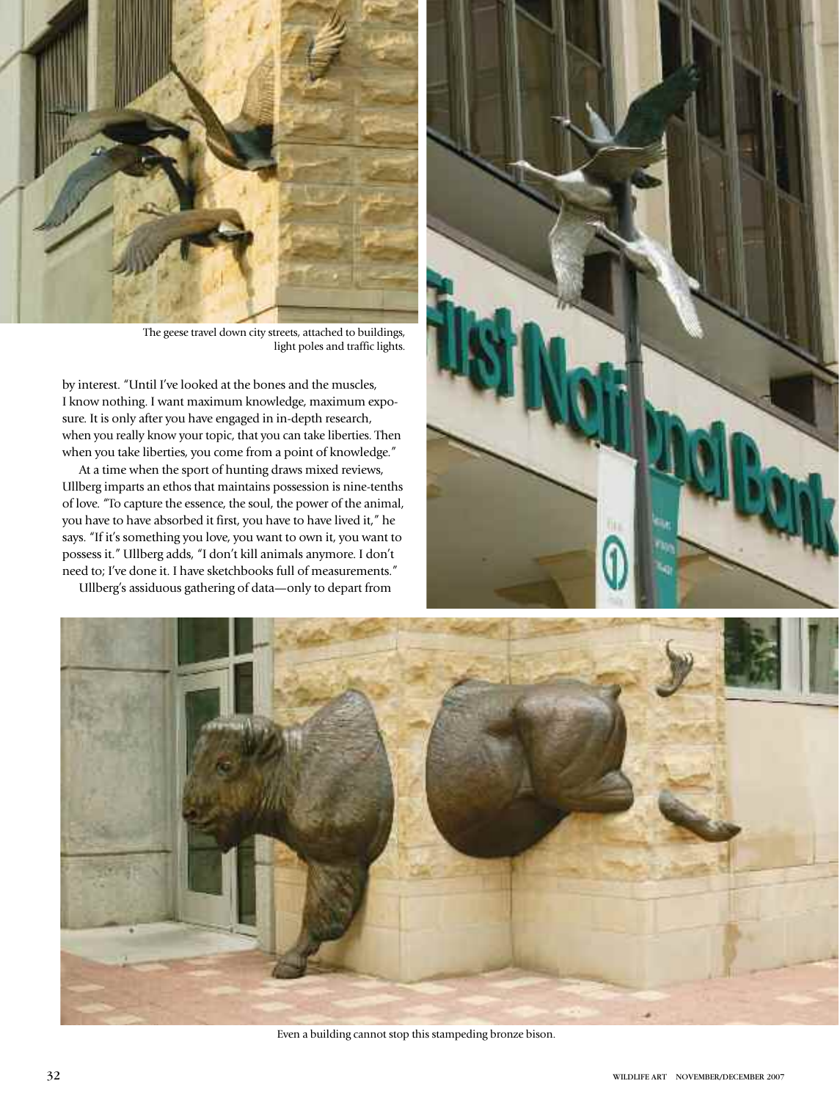

The geese travel down city streets, attached to buildings, light poles and traffic lights.

by interest. "Until I've looked at the bones and the muscles, I know nothing. I want maximum knowledge, maximum exposure. It is only after you have engaged in in-depth research, when you really know your topic, that you can take liberties. Then when you take liberties, you come from a point of knowledge."

At a time when the sport of hunting draws mixed reviews, Ullberg imparts an ethos that maintains possession is nine-tenths of love. "To capture the essence, the soul, the power of the animal, you have to have absorbed it first, you have to have lived it," he says. "If it's something you love, you want to own it, you want to possess it." Ullberg adds, "I don't kill animals anymore. I don't need to; I've done it. I have sketchbooks full of measurements."

Ullberg's assiduous gathering of data—only to depart from





Even a building cannot stop this stampeding bronze bison.